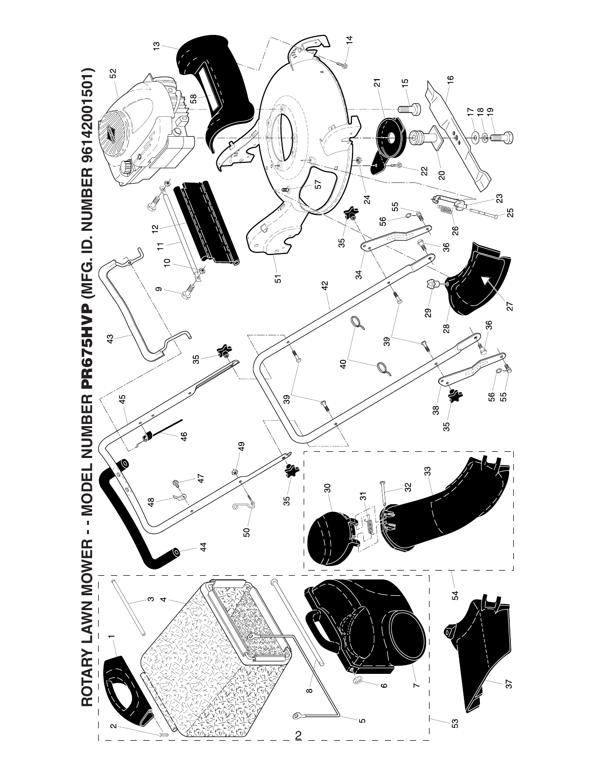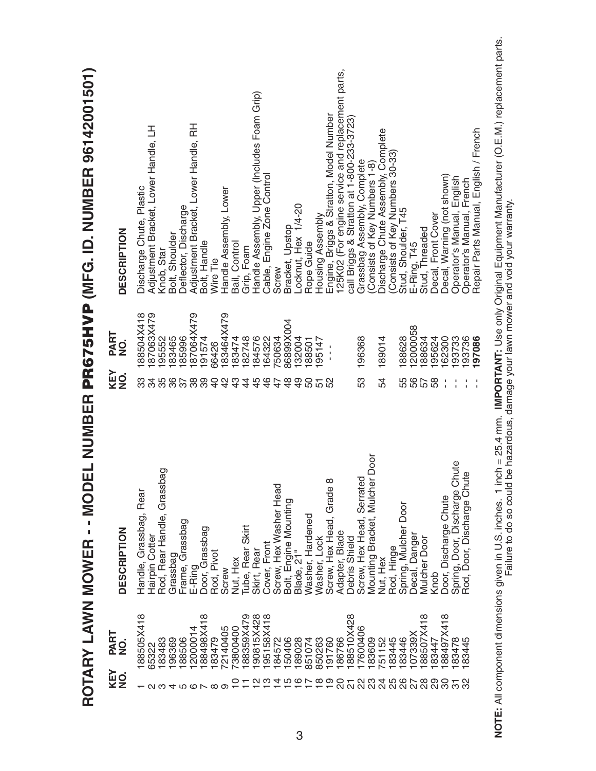| 88505X418<br>PART<br>$\dot{\mathsf{Q}}$ | DESCRIPTION                                                 | KEY<br>NO.<br>က္တ | 88504X418<br><b>PART</b><br>NO. | ROTARY LAWN MOWER - - MODEL NUMBER <b>PR675HVP</b> (MFG. ID. NUMBER 96142001501)<br><b>DESCRIPTION</b> |
|-----------------------------------------|-------------------------------------------------------------|-------------------|---------------------------------|--------------------------------------------------------------------------------------------------------|
| 65322                                   | Handle, Grassbag, Rear<br>Hairpin Cotter                    |                   | 87063X479                       | 马<br>Adjustment Bracket, Lower Handle,<br>Discharge Chute, Plastic                                     |
| 183483                                  | Rod, Rear Handle, Grassbag                                  | 35                | 195552                          | Knob, Star                                                                                             |
| 96369                                   | Grassbag                                                    | 86                | 183465                          | Bolt, Shoulder                                                                                         |
| 188506                                  | Frame, Grassbag                                             | 76                | 185996                          | Deflector, Discharge                                                                                   |
| 2000014                                 |                                                             | 88                | 87064X479                       | Adjustment Bracket, Lower Handle, RH                                                                   |
| 88498X418                               | E-Ring<br>Door, Grassbag<br>Rod, Pivot                      | 89                | 91574                           | Bolt, Handle                                                                                           |
| 72140405<br>83479                       | Screw                                                       | ₽<br>             | 83464X479<br>66426              | Handle Assembly, Lower<br>Wire Tie                                                                     |
| '3800400                                | Nut, Hex                                                    | $\frac{3}{4}$     | 83474                           | Bail, Control                                                                                          |
| 88359X479                               | Tube, Rear Skirt                                            | 4                 | 82748                           | Grip, Foam                                                                                             |
| 90815X428                               | Skirt, Rear                                                 | 45                | 84576                           | Handle Assembly, Upper (Includes Foam Grip)                                                            |
| 95158X418                               | Cover, Front                                                | $\frac{6}{4}$     | 64322                           | Cable, Engine Zone Control                                                                             |
| 84572                                   | Screw, Hex Washer Head                                      | $\ddot{+}$        | 50634                           | Screw                                                                                                  |
| 50406                                   | Bolt, Engine Mounting                                       | $\frac{8}{4}$     | B6899X004                       | Bracket, Upstop                                                                                        |
| 189028                                  | Blade, 21"                                                  | $\overline{4}$    | 132004                          | Locknut, Hex 1/4-20                                                                                    |
| 851074                                  | Washer, Hardened                                            | 50                | 188501                          | Rope Guide                                                                                             |
| 850263                                  | Washer, Lock                                                | 51                | 95147                           | Housing Assembly                                                                                       |
| 191760                                  | Screw, Hex Head, Grade 8                                    |                   |                                 | Engine, Briggs & Stratton, Model Number<br>125K02 (For engine service and replacement parts,           |
| 86766                                   | Adapter, Blade                                              |                   |                                 |                                                                                                        |
| 88510X428                               | Debris Shield                                               |                   |                                 | call Briggs & Stratton at 1-800-233-3723)                                                              |
| 7600406                                 | Screw, Hex Head, Serrated                                   | 53                | 196368                          | Grassbag Assembly, Complete                                                                            |
| 83609                                   | Door<br>Mounting Bracket, Mulcher                           |                   |                                 | Consists of Key Numbers 1-8)                                                                           |
| 751152                                  | Nut, Hex                                                    | 54                | 189014                          | Discharge Chute Assembly, Complete                                                                     |
| 183445                                  | Rod, Hinge                                                  |                   |                                 | Consists of Key Numbers 30-33                                                                          |
| 83446                                   | Door<br>Spring, Mulcher                                     | 55                | 88628                           | Stud, Shoulder, T45                                                                                    |
| 07339X                                  | Decal, Danger                                               | 56                | 2000058                         | $E-Ring, T45$                                                                                          |
| 88507X418                               | <b>Mulcher Door</b>                                         | 57                | 188634                          | Stud, Threaded                                                                                         |
| 83447                                   | Knob                                                        | 58                | 195624                          | Decal, Front Cover                                                                                     |
| 88497X418                               | Door, Discharge Chute                                       |                   | 62300                           | Decal, Warning (not shown)                                                                             |
| 83478<br>83445                          | Spring, Door, Discharge Chute<br>Rod, Door, Discharge Chute |                   | 93733                           | Operator's Manual, English                                                                             |
|                                         |                                                             |                   | 193736<br>197086                | Operator's Manual, French                                                                              |
|                                         |                                                             |                   |                                 | Repair Parts Manual, English / French                                                                  |

NOTE: All component dimensions given in U.S. inches. 1 inch = 25.4 mm. IMPORTANT: Use only Original Equipment Manufacturer (O.E.M.) replacement parts.<br>Failure to do so could be hazardous, damage your lawn mower and void yo **NOTE:** All component dimensions given in U.S. inches. 1 inch = 25.4 mm. **IMPORTANT:** Use only Original Equipment Manufacturer (O.E.M.) replacement parts. Failure to do so could be hazardous, damage your lawn mower and void your warranty.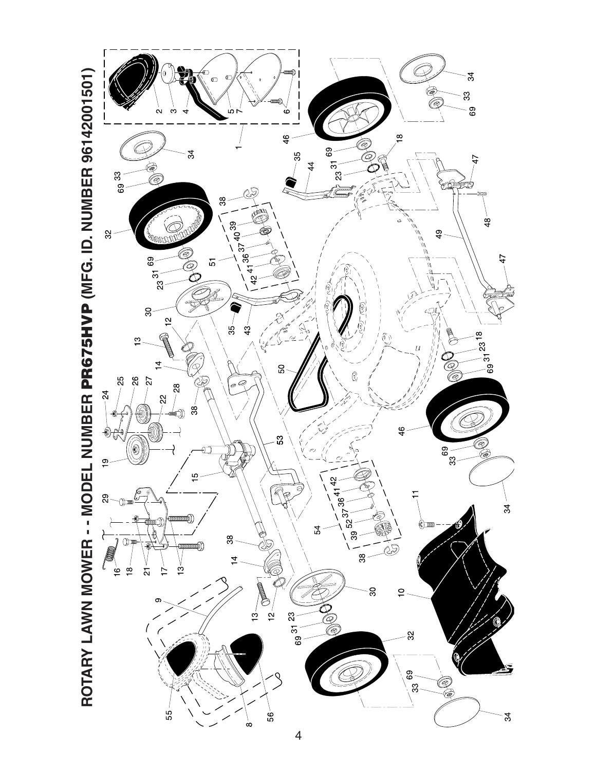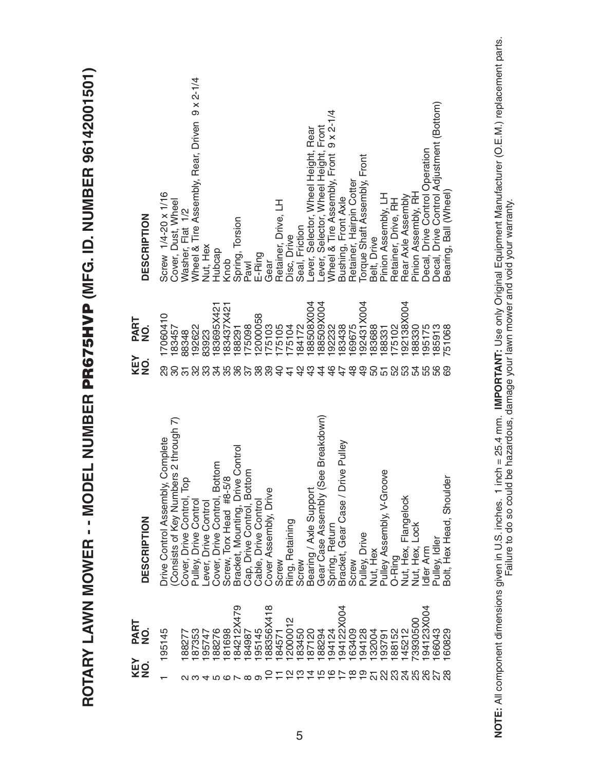| KEY<br>NO.             | PART<br>NO.    | <b>DESCRIPTION</b>                                             | KEY<br>NO.     | PART<br>$\dot{9}$ | <b>DESCRIPTION</b>                                                          |
|------------------------|----------------|----------------------------------------------------------------|----------------|-------------------|-----------------------------------------------------------------------------|
|                        | 195145         | ly, Complete<br>Drive Control Assembl                          | 89             | 17060410          | Screw 1/4-20 x 1/16                                                         |
|                        |                | (Consists of Key Numbers 2 through 7)                          |                | 183457            | Cover, Dust, Wheel                                                          |
|                        | 188277         | $\overline{\mathsf{Top}}$<br>Cover, Drive Control,             |                | 88348             | Washer, Flat 1/2                                                            |
| ດ ຕ                    | 187353         | <b>Pulley, Drive Control</b>                                   |                | 192622            | Wheel & Tire Assembly, Rear, Driven 9 x 2-1/4                               |
|                        | 195747         | Lever, Drive Control                                           |                | 83923             | Nut, Hex                                                                    |
| 45678                  | 88276          | Cover, Drive Control, Bottom                                   | ನ              | 183695X421        | Hubcap                                                                      |
|                        | 181698         | Screw, Torx Head #8-5/8                                        |                | 183437X421        | Knob                                                                        |
|                        | 479<br>84212X  |                                                                |                | 188291            | Spring, Torsion                                                             |
|                        | 84987          | Bracket, Mounting, Drive Control<br>Cap, Drive Control, Bottom | 5867           | 175098            | Pawl                                                                        |
| တ                      | 195145         | Cable, Drive Control                                           | 38             | 2000058           | E-Ring                                                                      |
|                        | 188356X418     | Cover Assembly, Drive                                          | 89             | 75103             | Gear                                                                        |
|                        | 184571         | Screw                                                          | $\overline{a}$ | 175105            | Retainer, Drive, LH                                                         |
|                        | 12000012       | Ring, Retaining                                                | $\frac{4}{5}$  | 75104             | Disc, Drive                                                                 |
|                        | 183450         | Screw                                                          | $\frac{2}{3}$  | 184172            | Seal, Friction                                                              |
| $777790$<br>$7979929$  | 187120         | Bearing / Axle Suppor                                          | ဘ္             | 88508X004         | Lever, Selector, Wheel Height, Rear<br>Lever, Selector, Wheel Height, Front |
|                        | 188294         | (See Breakdown)<br>Gear Case Assembly                          | 4              | 88509X004         | Front                                                                       |
|                        | 194124         | Spring, Return                                                 | 9              | 92232             | $9 \times 2 - 1/4$<br>Wheel & Tire Assembly, Front                          |
|                        | 004<br>194122X | <b>Drive Pulley</b><br>Bracket, Gear Case /                    | 47             | 83438             | Bushing, Front Axle                                                         |
|                        | 163409         | Screw                                                          | $\frac{8}{4}$  | 69675             | Retainer, Hairpin Cotter                                                    |
|                        | 194128         | Pulley, Drive                                                  | $\frac{9}{4}$  | 92431X004         | Torque Shaft Assembly, Front                                                |
| $\overline{\Omega}$    | 132004         | Nut, Hex                                                       | 50             | 83688             | Belt, Drive                                                                 |
| $\mathbf{\Omega}$      | 193791         | Pulley Assembly, V-Groove                                      | 오              | 88331             | Pinion Assembly, LH                                                         |
| 23                     | 188152         | O-Ring                                                         |                | 75102             | Retainer, Drive, RH                                                         |
| $\overline{24}$        | 145212         | Nut, Hex, Flangelock                                           |                | 92138X004         | Rear Axle Assembly                                                          |
| ഥ<br>$\mathbf{\Omega}$ | 73930500       | Nut, Hex, Lock                                                 | 54             | 88330             | Pinion Assembly, RH                                                         |
| ဖ<br>$\mathbf{\Omega}$ | 194123X004     | dler Arm                                                       |                | 195175            | Decal, Drive Control Operation                                              |
| $\frac{28}{28}$        | 166043         | Pulley, Idler                                                  | 56             | 185913            | Decal, Drive Control Adjustment (Bottom)                                    |
|                        | 60829          | Bolt, Hex Head, Shoulder                                       |                | 51068             | Bearing, Ball (Wheel)                                                       |

**ROTARY LAWN MOWER - - MODEL NUMBER PR675HVP (MFG. ID. NUMBER 96142001501)**

ROTARY LAWN MOWER - - MODEL NUMBER PR675HVP (MFG. ID. NUMBER 96142001501)

**NOTE:** All component dimensions given in U.S. inches. 1 inch = 25.4 mm. **IMPORTANT:** Use only Original Equipment Manufacturer (O.E.M.) replacement parts. NOTE: All component dimensions given in U.S. inches. 1 inch = 25.4 mm. IMPORTANT: Use only Original Equipment Manufacturer (O.E.M.) replacement parts.<br>Failure to do so could be hazardous, damage your lawn mower and void yo Failure to do so could be hazardous, damage your lawn mower and void your warranty.